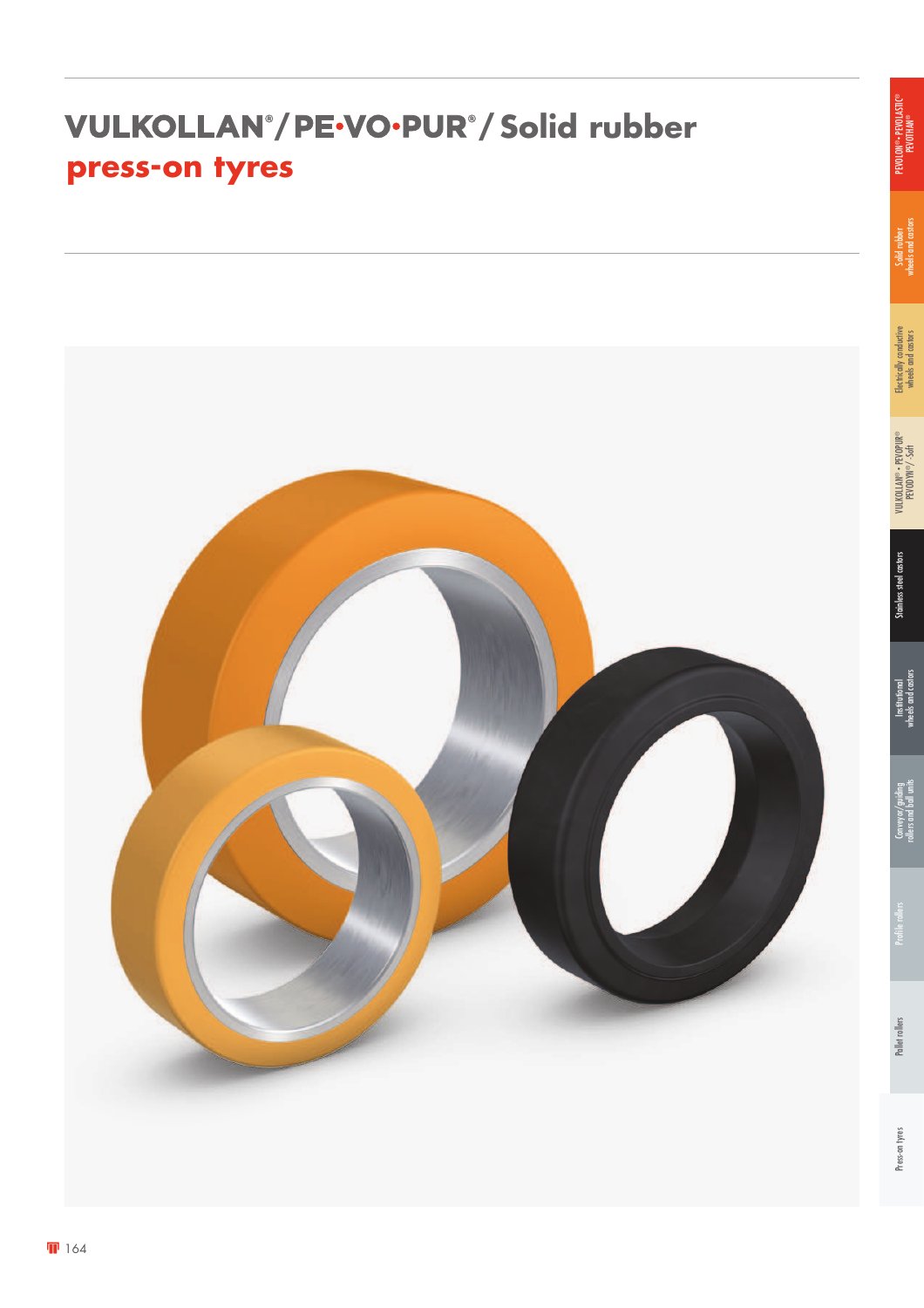### *VULKOLLAN®/PE-VO-PUR®/Solid rubber* **press-on tyres**

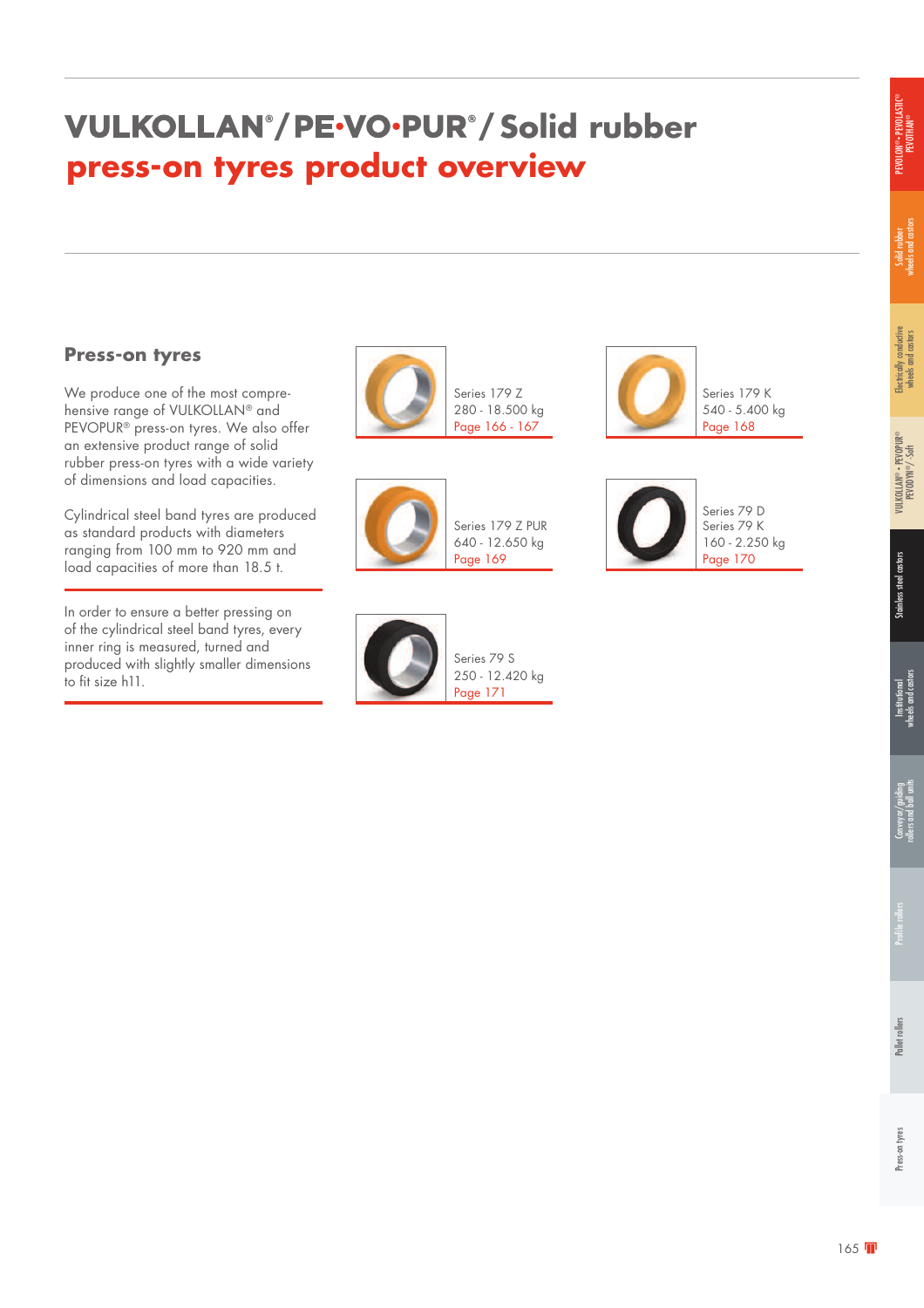### **/ / Solid rubber press-on tyres product overview**

#### **Press-on tyres**

We produce one of the most comprehensive range of VULKOLLAN® and PEVOPUR® press-on tyres. We also offer an extensive product range of solid rubber press-on tyres with a wide variety of dimensions and load capacities.

Cylindrical steel band tyres are produced as standard products with diameters ranging from 100 mm to 920 mm and load capacities of more than 18.5 t.

In order to ensure a better pressing on of the cylindrical steel band tyres, every inner ring is measured, turned and produced with slightly smaller dimensions to fit size h11.



Series 179 Z 280 - 18.500 kg Page 166 - 167







Series 179 K 540 - 5.400 kg Page 168



160 - 2.250 kg

Solid rubber<br>wheels and castors wheels and castors

Electrically conductive wheels and castors

Electrically conductive<br>wheels and castors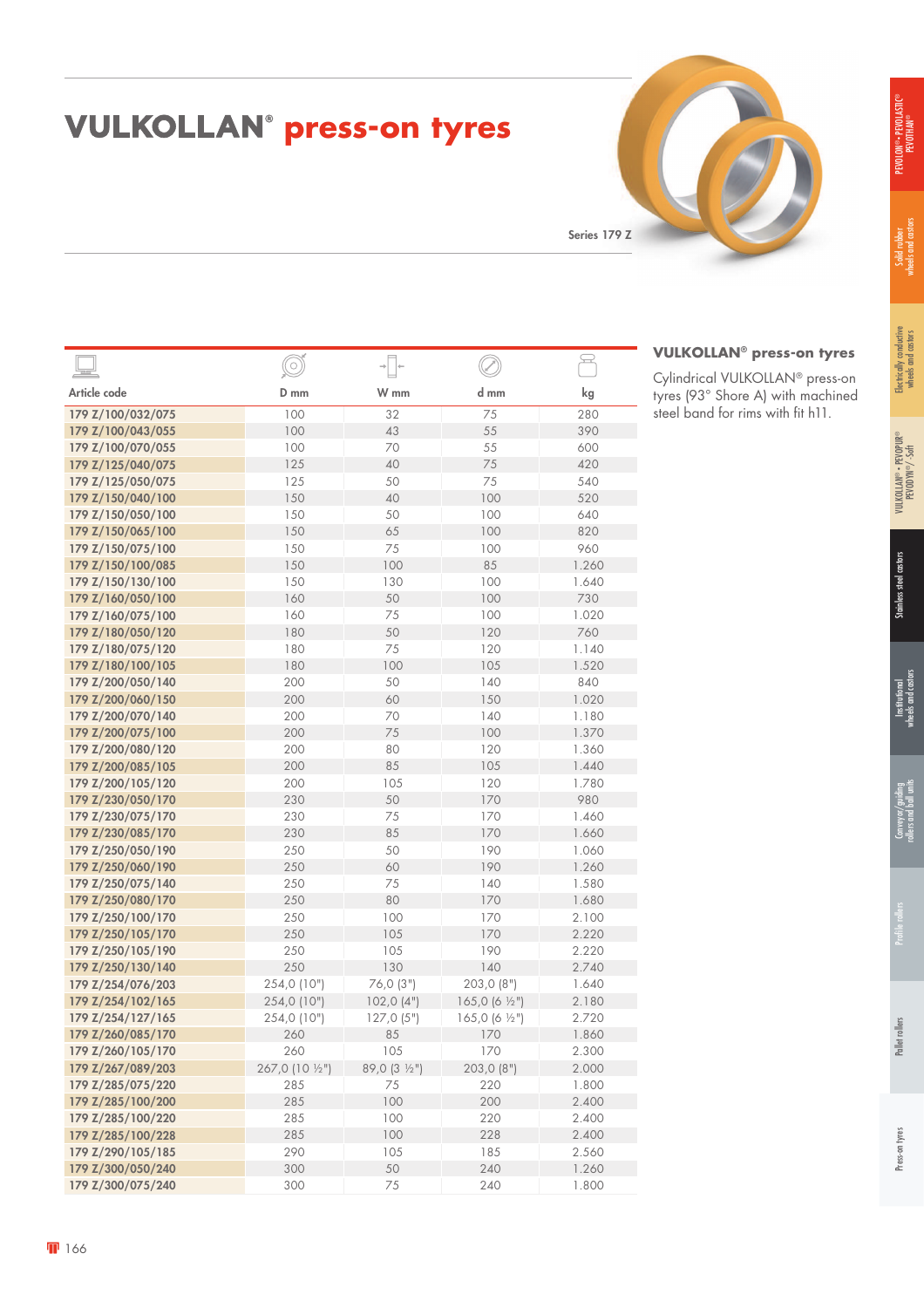## PEVOLON® • PEVOLASTIC® ON®∙ PEVOLAS∏C<br>PEVOTHAN®

| <b>VULKOLLAN<sup>®</sup> press-on tyres</b> |  |  |
|---------------------------------------------|--|--|
|---------------------------------------------|--|--|

Series 179 Z

|                   | $\widehat{\odot}$ | $\rightarrow$<br>$\rightarrow$ |                           | $\mathfrak{D}$             |
|-------------------|-------------------|--------------------------------|---------------------------|----------------------------|
| Article code      | D mm              | W mm                           | d mm                      | $\mathop{\rm kg}\nolimits$ |
| 179 Z/100/032/075 | 100               | 32                             | 75                        | 280                        |
| 179 Z/100/043/055 | 100               | 43                             | 55                        | 390                        |
| 179 Z/100/070/055 | 100               | 70                             | 55                        | 600                        |
| 179 Z/125/040/075 | 125               | 40                             | 75                        | 420                        |
| 179 Z/125/050/075 | 125               | 50                             | 75                        | 540                        |
| 179 Z/150/040/100 | 150               | 40                             | 100                       | 520                        |
| 179 Z/150/050/100 | 150               | 50                             | 100                       | 640                        |
| 179 Z/150/065/100 | 150               | 65                             | 100                       | 820                        |
| 179 Z/150/075/100 | 150               | 75                             | 100                       | 960                        |
| 179 Z/150/100/085 | 150               | 100                            | 85                        | 1.260                      |
| 179 Z/150/130/100 | 150               | 130                            | 100                       | 1.640                      |
| 179 Z/160/050/100 | 160               | 50                             | 100                       | 730                        |
| 179 Z/160/075/100 | 160               | 75                             | 100                       | 1.020                      |
| 179 Z/180/050/120 | 180               | 50                             | 120                       | 760                        |
| 179 Z/180/075/120 | 180               | 75                             | 120                       | 1.140                      |
| 179 Z/180/100/105 | 180               | 100                            | 105                       | 1.520                      |
| 179 Z/200/050/140 | 200               | 50                             | 140                       | 840                        |
| 179 Z/200/060/150 | 200               | 60                             | 150                       | 1.020                      |
| 179 Z/200/070/140 | 200               | 70                             | 140                       | 1.180                      |
| 179 Z/200/075/100 | 200               | 75                             | 100                       | 1.370                      |
| 179 Z/200/080/120 | 200               | 80                             | 120                       | 1.360                      |
| 179 Z/200/085/105 | 200               | 85                             | 105                       | 1.440                      |
| 179 Z/200/105/120 | 200               | 105                            | 120                       | 1.780                      |
| 179 Z/230/050/170 | 230               | 50                             | 170                       | 980                        |
| 179 Z/230/075/170 | 230               | 75                             | 170                       | 1.460                      |
| 179 Z/230/085/170 | 230               | 85                             | 170                       | 1.660                      |
| 179 Z/250/050/190 | 250               | 50                             | 190                       | 1.060                      |
| 179 Z/250/060/190 | 250               | 60                             | 190                       | 1.260                      |
| 179 Z/250/075/140 | 250               | 75                             | 140                       | 1.580                      |
| 179 Z/250/080/170 | 250               | 80                             | 170                       | 1.680                      |
| 179 Z/250/100/170 | 250               | 100                            | 170                       | 2.100                      |
| 179 Z/250/105/170 | 250               | 105                            | 170                       | 2.220                      |
| 179 Z/250/105/190 | 250               | 105                            | 190                       | 2.220                      |
| 179 Z/250/130/140 | 250               | 130                            | 140                       | 2.740                      |
| 179 Z/254/076/203 | 254,0 (10")       | 76,0 (3")                      | 203,0 (8")                | 1.640                      |
| 179 Z/254/102/165 | 254,0 (10")       | 102,0(4")                      | 165,0 (6 1/2")            | 2.180                      |
| 179 Z/254/127/165 | 254,0 (10")       | 127,0(5")                      | 165,0 (6 $\frac{1}{2}$ ") | 2.720                      |
| 179 Z/260/085/170 | 260               | 85                             | 170                       | 1.860                      |
| 179 Z/260/105/170 | 260               | 105                            | 170                       | 2.300                      |
| 179 Z/267/089/203 | 267,0 (10 1/2")   | 89,0 (3 1/2")                  | 203,0 (8")                | 2.000                      |
| 179 Z/285/075/220 | 285               | 75                             | 220                       | 1.800                      |
| 179 Z/285/100/200 | 285               | 100                            | 200                       | 2.400                      |
| 179 Z/285/100/220 | 285               | 100                            | 220                       | 2.400                      |
| 179 Z/285/100/228 | 285               | 100                            | 228                       | 2.400                      |
| 179 Z/290/105/185 | 290               | 105                            | 185                       | 2.560                      |
| 179 Z/300/050/240 | 300               | 50                             | 240                       | 1.260                      |
| 179 Z/300/075/240 | 300               | 75                             | 240                       | 1.800                      |

|      |     | <b>VULKOLLAN<sup>®</sup> press-on tyres</b> |
|------|-----|---------------------------------------------|
|      |     | Cylindrical VULKOLLAN® press-on             |
| d mm | kg  | tyres (93° Shore A) with machined           |
|      | 280 | steel band for rims with fit h11.           |

#### **166**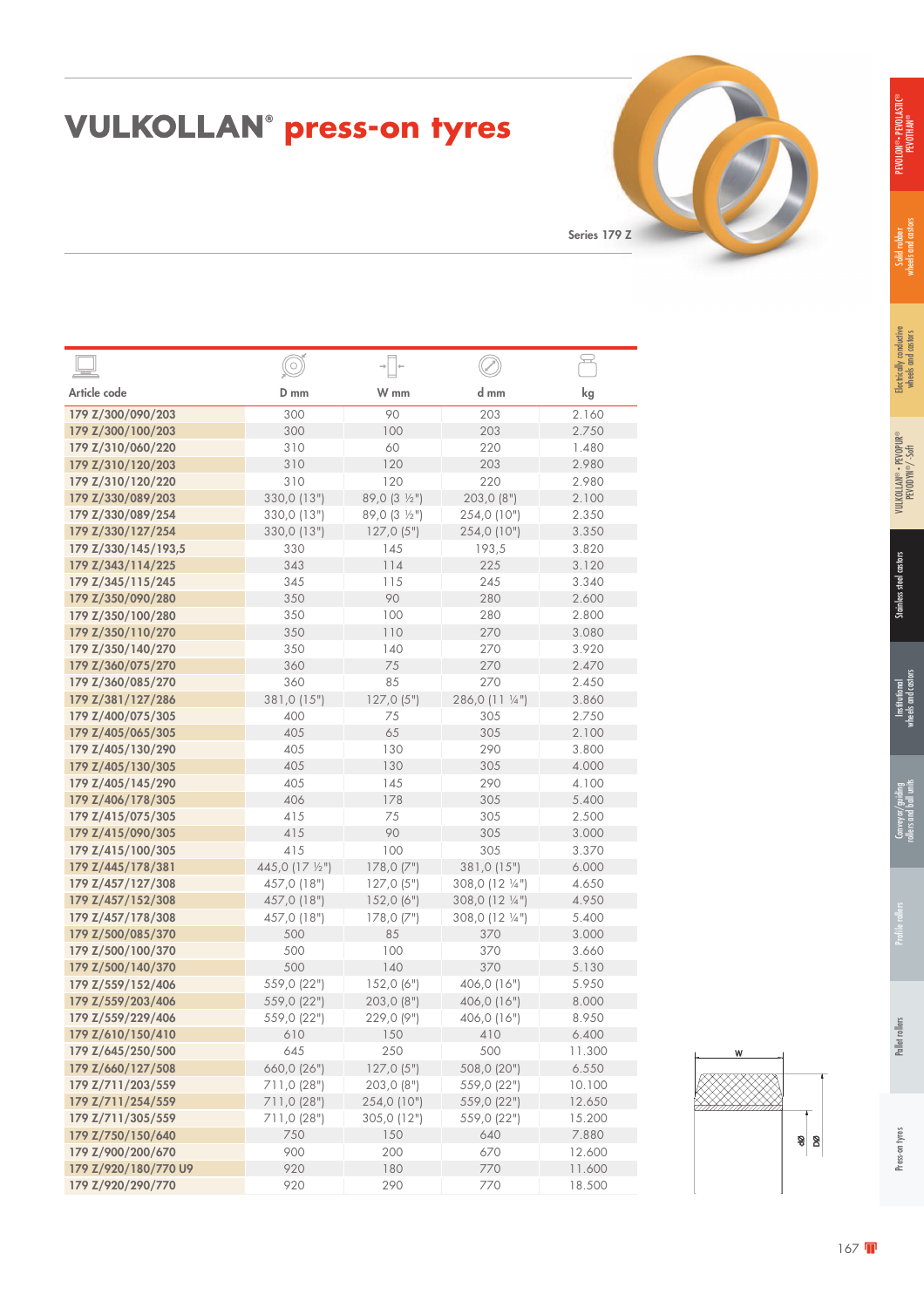## PEVOLON® • PEVOLASTIC® PEVOTHAN®

# **VULKOLLAN<sup>®</sup> press-on tyres**

Series 179 Z

|                      | $\bigcirc$      |               |                 |        |
|----------------------|-----------------|---------------|-----------------|--------|
| Article code         | D mm            | W mm          | d mm            | kg     |
| 179 Z/300/090/203    | 300             | 90            | 203             | 2.160  |
| 179 Z/300/100/203    | 300             | 100           | 203             | 2.750  |
| 179 Z/310/060/220    | 310             | 60            | 220             | 1.480  |
| 179 Z/310/120/203    | 310             | 120           | 203             | 2.980  |
| 179 Z/310/120/220    | 310             | 120           | 220             | 2.980  |
| 179 Z/330/089/203    | 330,0 (13")     | 89,0 (3 1/2") | 203,0 (8")      | 2.100  |
| 179 Z/330/089/254    | 330,0 (13")     | 89,0 (3 1/2") | 254,0 (10")     | 2.350  |
| 179 Z/330/127/254    | 330,0 (13")     | 127,0(5")     | 254,0 (10")     | 3.350  |
| 179 Z/330/145/193,5  | 330             | 145           | 193,5           | 3.820  |
| 179 Z/343/114/225    | 343             | 114           | 225             | 3.120  |
| 179 Z/345/115/245    | 345             | 115           | 245             | 3.340  |
| 179 Z/350/090/280    | 350             | 90            | 280             | 2.600  |
| 179 Z/350/100/280    | 350             | 100           | 280             | 2.800  |
| 179 Z/350/110/270    | 350             | 110           | 270             | 3.080  |
| 179 Z/350/140/270    | 350             | 140           | 270             | 3.920  |
| 179 Z/360/075/270    | 360             | 75            | 270             | 2.470  |
| 179 Z/360/085/270    | 360             | 85            | 270             | 2.450  |
| 179 Z/381/127/286    | 381,0 (15")     | 127,0(5")     | 286,0 (11 1/4") | 3.860  |
| 179 Z/400/075/305    | 400             | 75            | 305             | 2.750  |
| 179 Z/405/065/305    | 405             | 65            | 305             | 2.100  |
| 179 Z/405/130/290    | 405             | 130           | 290             | 3.800  |
| 179 Z/405/130/305    | 405             | 130           | 305             | 4.000  |
| 179 Z/405/145/290    | 405             | 145           | 290             | 4.100  |
| 179 Z/406/178/305    | 406             | 178           | 305             | 5.400  |
| 179 Z/415/075/305    | 415             | 75            | 305             | 2.500  |
| 179 Z/415/090/305    | 415             | 90            | 305             | 3.000  |
| 179 Z/415/100/305    | 415             | 100           | 305             | 3.370  |
| 179 Z/445/178/381    | 445,0 (17 1/2") | 178,0(7")     | 381,0 (15")     | 6.000  |
| 179 Z/457/127/308    | 457,0 (18")     | 127,0(5")     | 308,0 (12 1/4") | 4.650  |
| 179 Z/457/152/308    | 457,0 (18")     | 152,0(6")     | 308,0 (12 1/4") | 4.950  |
| 179 Z/457/178/308    | 457,0 (18")     | 178,0(7")     | 308,0 (12 1/4") | 5.400  |
| 179 Z/500/085/370    | 500             | 85            | 370             | 3.000  |
| 179 Z/500/100/370    | 500             | 100           | 370             | 3.660  |
| 179 Z/500/140/370    | 500             | 140           | 370             | 5.130  |
| 179 Z/559/152/406    | 559,0 (22")     | 152,0(6")     | 406,0 (16")     | 5.950  |
| 179 Z/559/203/406    | 559,0 (22")     | 203,0 (8")    | 406,0 (16")     | 8.000  |
| 179 Z/559/229/406    | 559,0 (22")     | 229,0 (9")    | 406,0 (16")     | 8.950  |
| 179 Z/610/150/410    | 610             | 150           | 410             | 6.400  |
| 179 Z/645/250/500    | 645             | 250           | 500             | 11.300 |
| 179 Z/660/127/508    | 660,0 (26")     | 127,0(5")     | 508,0 (20")     | 6.550  |
| 179 Z/711/203/559    | 711,0 (28")     | 203,0 (8")    | 559,0 (22")     | 10.100 |
| 179 Z/711/254/559    | 711,0 (28")     | 254,0 (10")   | 559,0 (22")     | 12.650 |
| 179 Z/711/305/559    | 711,0 (28")     | 305,0 (12")   | 559,0 (22")     | 15.200 |
| 179 Z/750/150/640    | 750             | 150           | 640             | 7.880  |
| 179 Z/900/200/670    | 900             | 200           | 670             | 12.600 |
| 179 Z/920/180/770 U9 | 920             | 180           | 770             | 11.600 |
| 179 Z/920/290/770    | 920             | 290           | 770             | 18.500 |
|                      |                 |               |                 |        |

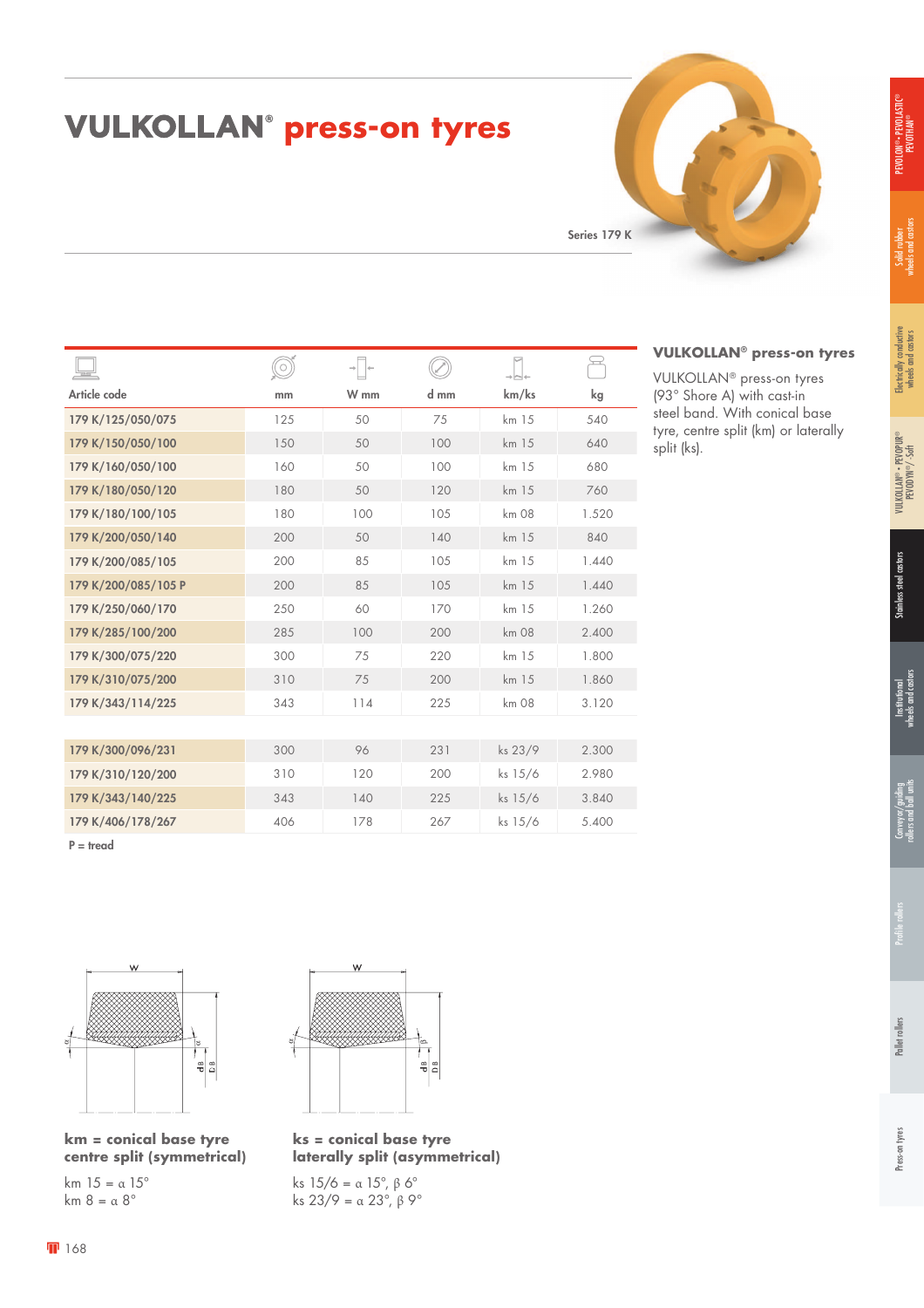# PEVOLON® • PEVOLASTIC® PEVOTHAN®

**VULKOLLAN® press-on tyres** VULKOLLAN® press-on tyres (93° Shore A) with cast-in steel band. With conical base tyre, centre split (km) or laterally

split (ks).

#### **VULKOLLAN<sup>®</sup> press-on tyres**

Series 179 K

|                     | $\bigcirc$ | $\rightarrow$<br>$\rightarrow$ |      |         | يب    |
|---------------------|------------|--------------------------------|------|---------|-------|
| Article code        | mm         | W mm                           | d mm | km/ks   | kg    |
| 179 K/125/050/075   | 125        | 50                             | 75   | km 15   | 540   |
| 179 K/150/050/100   | 150        | 50                             | 100  | km 15   | 640   |
| 179 K/160/050/100   | 160        | 50                             | 100  | km 15   | 680   |
| 179 K/180/050/120   | 180        | 50                             | 120  | km 15   | 760   |
| 179 K/180/100/105   | 180        | 100                            | 105  | km 08   | 1.520 |
| 179 K/200/050/140   | 200        | 50                             | 140  | km 15   | 840   |
| 179 K/200/085/105   | 200        | 85                             | 105  | km 15   | 1.440 |
| 179 K/200/085/105 P | 200        | 85                             | 105  | km 15   | 1.440 |
| 179 K/250/060/170   | 250        | 60                             | 170  | km 15   | 1.260 |
| 179 K/285/100/200   | 285        | 100                            | 200  | km 08   | 2.400 |
| 179 K/300/075/220   | 300        | 75                             | 220  | km 15   | 1.800 |
| 179 K/310/075/200   | 310        | 75                             | 200  | km 15   | 1.860 |
| 179 K/343/114/225   | 343        | 114                            | 225  | km 08   | 3.120 |
|                     |            |                                |      |         |       |
| 179 K/300/096/231   | 300        | 96                             | 231  | ks 23/9 | 2.300 |
| 179 K/310/120/200   | 310        | 120                            | 200  | ks 15/6 | 2.980 |
| 179 K/343/140/225   | 343        | 140                            | 225  | ks 15/6 | 3.840 |
| 179 K/406/178/267   | 406        | 178                            | 267  | ks 15/6 | 5.400 |

P = tread



**km = conical base tyre centre split (symmetrical)**

km  $15 = \alpha 15^\circ$ km  $8 = \alpha 8^\circ$ 



**ks = conical base tyre laterally split (asymmetrical)**

ks  $15/6 = α 15°$ , β 6° ks 23/9 = α 23°,  $β$  9°

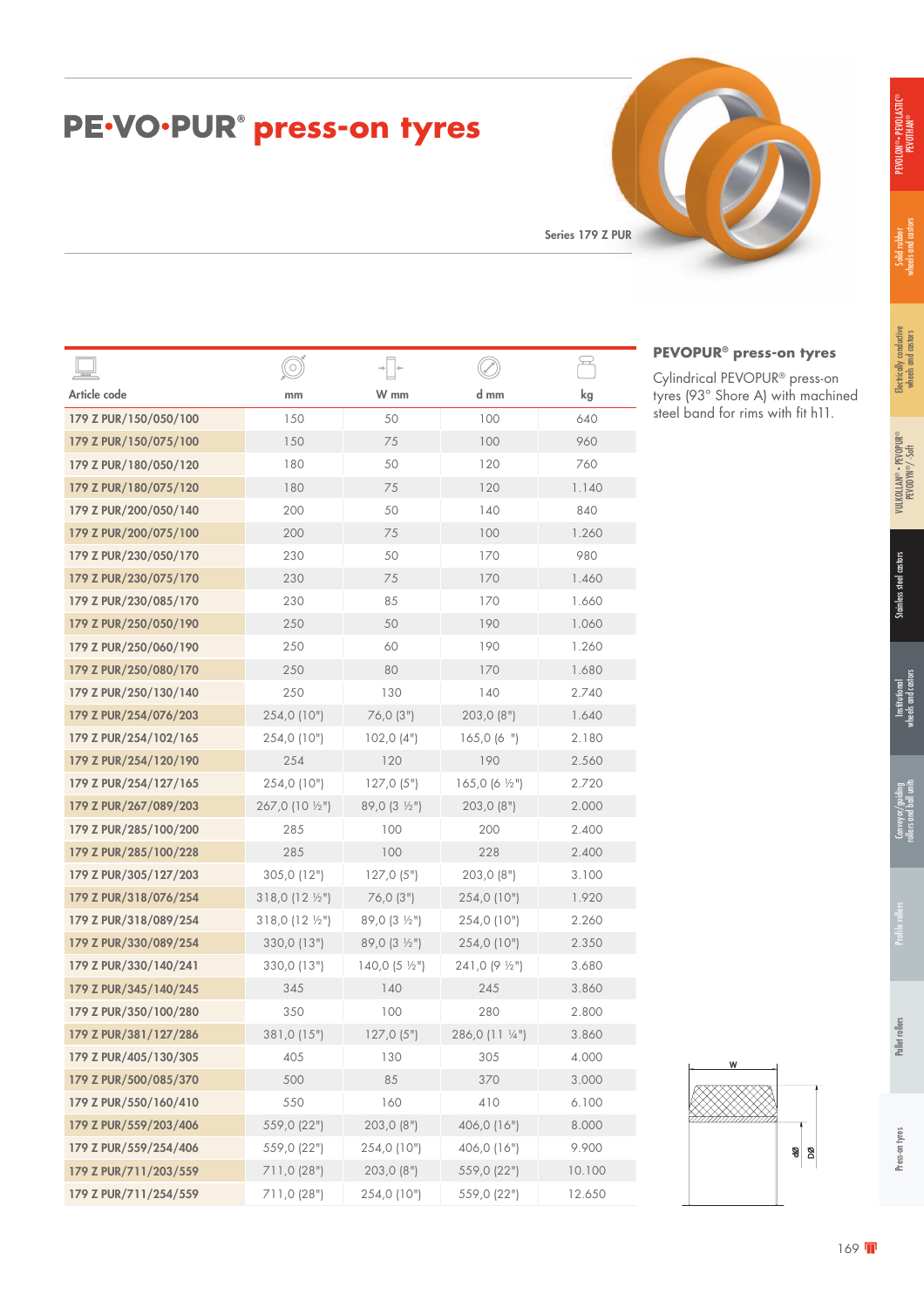| PE.VO.PUR <sup>®</sup> press-on tyres |  |  |
|---------------------------------------|--|--|
|---------------------------------------|--|--|

Series 179 Z PUR

|                       | $\circ$                |                           |                           | <u>پ</u> |
|-----------------------|------------------------|---------------------------|---------------------------|----------|
| Article code          | mm                     | W mm                      | d mm                      | kg       |
| 179 Z PUR/150/050/100 | 150                    | 50                        | 100                       | 640      |
| 179 Z PUR/150/075/100 | 150                    | 75                        | 100                       | 960      |
| 179 Z PUR/180/050/120 | 180                    | 50                        | 120                       | 760      |
| 179 Z PUR/180/075/120 | 180                    | 75                        | 120                       | 1.140    |
| 179 Z PUR/200/050/140 | 200                    | 50                        | 140                       | 840      |
| 179 Z PUR/200/075/100 | 200                    | 75                        | 100                       | 1.260    |
| 179 Z PUR/230/050/170 | 230                    | 50                        | 170                       | 980      |
| 179 Z PUR/230/075/170 | 230                    | 75                        | 170                       | 1.460    |
| 179 Z PUR/230/085/170 | 230                    | 85                        | 170                       | 1.660    |
| 179 Z PUR/250/050/190 | 250                    | 50                        | 190                       | 1.060    |
| 179 Z PUR/250/060/190 | 250                    | 60                        | 190                       | 1.260    |
| 179 Z PUR/250/080/170 | 250                    | 80                        | 170                       | 1.680    |
| 179 Z PUR/250/130/140 | 250                    | 130                       | 140                       | 2.740    |
| 179 Z PUR/254/076/203 | 254,0 (10")            | 76,0 (3")                 | 203,0 (8")                | 1.640    |
| 179 Z PUR/254/102/165 | 254,0 (10")            | 102,0(4")                 | 165,0(6")                 | 2.180    |
| 179 Z PUR/254/120/190 | 254                    | 120                       | 190                       | 2.560    |
| 179 Z PUR/254/127/165 | 254,0 (10")            | 127,0(5")                 | 165,0 (6 $\frac{1}{2}$ ") | 2.720    |
| 179 Z PUR/267/089/203 | 267,0 (10 1/2")        | 89,0 (3 1/2")             | 203,0(8")                 | 2.000    |
| 179 Z PUR/285/100/200 | 285                    | 100                       | 200                       | 2.400    |
| 179 Z PUR/285/100/228 | 285                    | 100                       | 228                       | 2.400    |
| 179 Z PUR/305/127/203 | 305,0 (12")            | 127,0(5")                 | 203,0(8")                 | 3.100    |
| 179 Z PUR/318/076/254 | $318,0(12\frac{1}{2})$ | 76,0(3")                  | 254,0 (10")               | 1.920    |
| 179 Z PUR/318/089/254 | $318,0(12\frac{1}{2})$ | $89,0(3 \frac{1}{2})$     | 254,0 (10")               | 2.260    |
| 179 Z PUR/330/089/254 | 330,0 (13")            | 89,0 (3 1/2")             | 254,0 (10")               | 2.350    |
| 179 Z PUR/330/140/241 | 330,0 (13")            | 140,0 (5 $\frac{1}{2}$ ") | $241,0(9\frac{1}{2})$     | 3.680    |
| 179 Z PUR/345/140/245 | 345                    | 140                       | 245                       | 3.860    |
| 179 Z PUR/350/100/280 | 350                    | 100                       | 280                       | 2.800    |
| 179 Z PUR/381/127/286 | 381,0 (15")            | 127,0(5")                 | 286,0 (11 1/4")           | 3.860    |
| 179 Z PUR/405/130/305 | 405                    | 130                       | 305                       | 4.000    |
| 179 Z PUR/500/085/370 | 500                    | 85                        | 370                       | 3.000    |
| 179 Z PUR/550/160/410 | 550                    | 160                       | 410                       | 6.100    |
| 179 Z PUR/559/203/406 | 559,0 (22")            | 203,0 (8")                | 406,0 (16")               | 8.000    |
| 179 Z PUR/559/254/406 | 559,0 (22")            | 254,0 (10")               | 406,0 (16")               | 9.900    |
| 179 Z PUR/711/203/559 | 711,0 (28")            | 203,0 (8")                | 559,0 (22")               | 10.100   |
| 179 Z PUR/711/254/559 | 711,0 (28")            | 254,0 (10")               | 559,0 (22")               | 12.650   |

#### **PEVOPUR® press-on tyres**

W

Cylindrical PEVOPUR® press-on tyres (93° Shore A) with machined steel band for rims with fit h11.

ଞ୍ଜା ଆ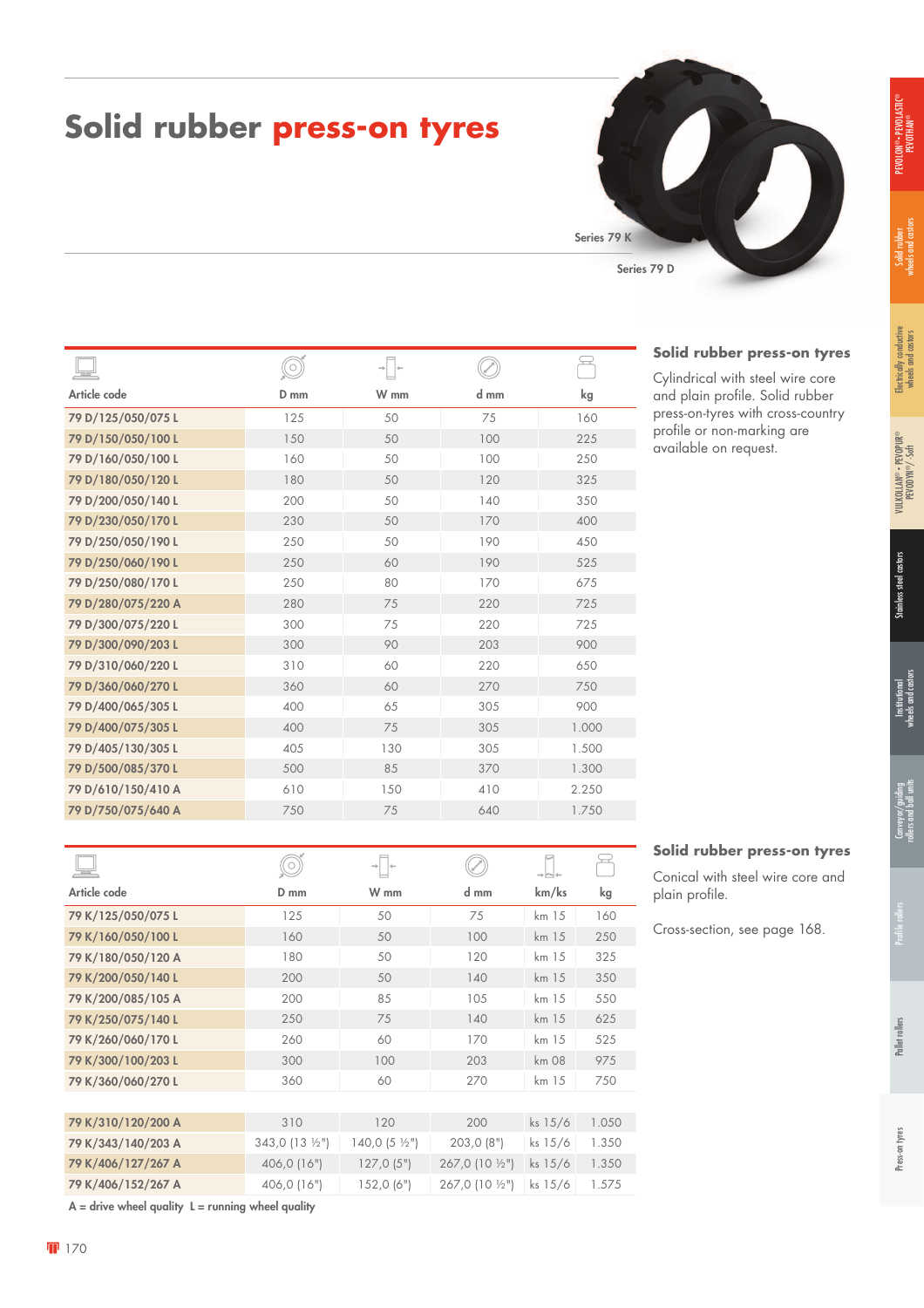#### **Solid rubber press-on tyres**

Series 79 D Series 79 K

#### **Solid rubber press-on tyres**

Cylindrical with steel wire core and plain profile. Solid rubber press-on-tyres with cross-country profile or non-marking are available on request.

**Solid rubber press-on tyres** Conical with steel wire core and

Cross-section, see page 168.

plain profile.

| Ō      |      |      |       |
|--------|------|------|-------|
| $D$ mm | W mm | d mm | kg    |
| 125    | 50   | 75   | 160   |
| 150    | 50   | 100  | 225   |
| 160    | 50   | 100  | 250   |
| 180    | 50   | 120  | 325   |
| 200    | 50   | 140  | 350   |
| 230    | 50   | 170  | 400   |
| 250    | 50   | 190  | 450   |
| 250    | 60   | 190  | 525   |
| 250    | 80   | 170  | 675   |
| 280    | 75   | 220  | 725   |
| 300    | 75   | 220  | 725   |
| 300    | 90   | 203  | 900   |
| 310    | 60   | 220  | 650   |
| 360    | 60   | 270  | 750   |
| 400    | 65   | 305  | 900   |
| 400    | 75   | 305  | 1.000 |
| 405    | 130  | 305  | 1.500 |
| 500    | 85   | 370  | 1.300 |
| 610    | 150  | 410  | 2.250 |
| 750    | 75   | 640  | 1.750 |
|        |      |      |       |

|                    |               | $\rightarrow$           |                        | ⊣∼⊷       |       |
|--------------------|---------------|-------------------------|------------------------|-----------|-------|
| Article code       | $D$ mm        | W mm                    | d mm                   | km/ks     | kg    |
| 79 K/125/050/075 L | 125           | 50                      | 75                     | km 15     | 160   |
| 79 K/160/050/100 L | 160           | 50                      | 100                    | km 15     | 250   |
| 79 K/180/050/120 A | 180           | 50                      | 120                    | km 15     | 325   |
| 79 K/200/050/140 L | 200           | 50                      | 140                    | km 15     | 350   |
| 79 K/200/085/105 A | 200           | 85                      | 105                    | km 15     | 550   |
| 79 K/250/075/140 L | 250           | 75                      | 140                    | km 15     | 625   |
| 79 K/260/060/170 L | 260           | 60                      | 170                    | km 15     | 525   |
| 79 K/300/100/203 L | 300           | 100                     | 203                    | km 08     | 975   |
| 79 K/360/060/270 L | 360           | 60                      | 270                    | km 15     | 750   |
|                    |               |                         |                        |           |       |
| 79 K/310/120/200 A | 310           | 120                     | 200                    | ks 15/6   | 1.050 |
| 79 K/343/140/203 A | 343,0 (13 ½") | 140,0 $(5 \frac{1}{2})$ | 203,0(8")              | ks 15/6   | 1.350 |
| 79 K/406/127/267 A | 406,0 (16")   | 127,0(5")               | $267,0(10\frac{1}{2})$ | ks $15/6$ | 1.350 |
| 79 K/406/152/267 A | 406,0 (16")   | 152,0(6")               | 267,0 (10 ½")          | ks 15/6   | 1.575 |
|                    |               |                         |                        |           |       |

 $A =$  drive wheel quality  $L =$  running wheel quality